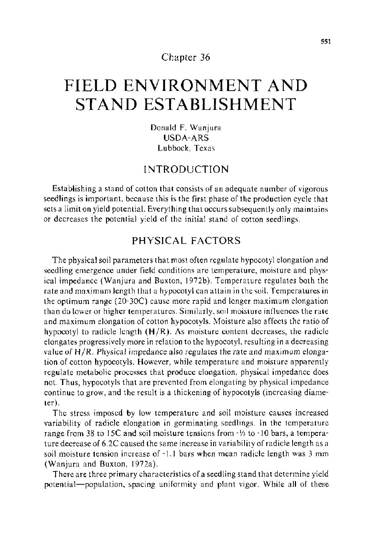#### Chapter 36

# **FIELD ENVIRONMENT AND STAND ESTABLISHMENT**

Donald F. Wanjura USDA-ARS Lubbock, Texas

### INTRODUCTION

Establishing a stand of cotton that consists of an adequate number of vigorous seedlings is important. because this is the first phase of the production cycle that sets a limit on yield potential. Everything that occurs subsequently only maintains or decreases the potential yield of the initial stand of cotton seedlings.

# PHYSICAL FACTORS

The physical soil parameters that most often regulate hypocotyl elongation and seedling emergence under field conditions are temperature, moisture and physical impedance (Wanjura and Buxton, 1972b). Temperature regulates both the rate and maximum length that a hypocotyl can attain in the soil. Temperatures in the optimum range (20-30C) cause more rapid and longer maximum elongation than do lower or higher temperatures. Similarly, soil moisture influences the rate and maximum elongation of cotton hypocotyls. Moisture also affects the ratio of hypocotyl to radicle length  $(H/R)$ . As moisture content decreases, the radicle elongates progressively more in relation to the hypocotyl, resulting in a decreasing value of H/R. Physical impedance also regulates the rate and maximum elongation of cotton hypocotyls. However, while temperature and moisture apparently regulate metabolic processes that produce elongation, physical impedance does not. Thus, hypocotyls that are prevented from elongating by physical impedance continue to grow, and the result is a thickening of hypocotyls (increasing diameter).

The stress imposed by low temperature and soil moisture causes increased variability of radicle elongation in germinating seedlings. In the temperature range from 38 to 15C and soil moisture tensions from -1/3 to -10 bars, a temperature decrease of 6.2C caused the same increase invariability of radicle length as a soil moisture tension increase of -1.1 bars when mean radicle length was 3 mm (Wanjura and Buxton, 1972a).

There are three primary characteristics of a seedling stand that determine yield potential-population, spacing uniformity and plant vigor. While all of these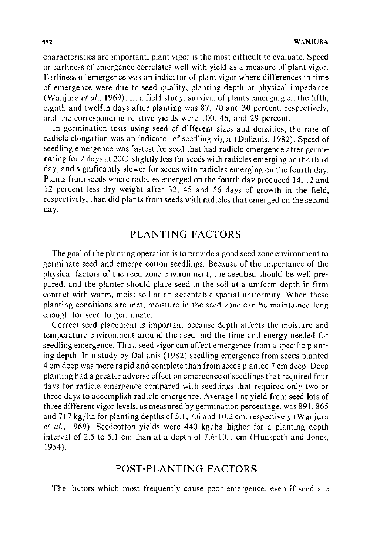characteristics are important, plant vigor is the most difficult to evaluate. Speed or earliness of emergence correlates well with yield as a measure of plant vigor. Earliness of emergence was an indicator of plant vigor where differences in time of emergence were due to seed quality, planting depth or physical impedance (Wanjura *eta/.,* 1969). In a field study, survival of plants emerging on the fifth, eighth and twelfth days after planting was 87, 70 and 30 percent, respectively, and the corresponding relative yields were 100, 46, and 29 percent.

In germination tests using seed of different sizes and densities, the rate of radicle elongation was an indicator of seedling vigor (Dalianis, 1982). Speed of seedling emergence was fastest for seed that had radicle emergence after germinating for 2 days at 20C, slightly less for seeds with radicles emerging on the third day, and significantly slower for seeds with radicles emerging on the fourth day. Plants from seeds where radicles emerged on the fourth day produced 14, 12 and 12 percent less dry weight after 32, 45 and 56 days of growth in the field, respectively, than did plants from seeds with radicles that emerged on the second day.

# PLANTING FACTORS

The goal of the planting operation is to provide a good seed zone environment to germinate seed and emerge cotton seedlings. Because of the importance of the physical factors of the seed zone environment, the seedbed should be well prepared, and the planter should place seed in the soil at a uniform depth in firm contact with warm, moist soil at an acceptable spatial uniformity. When these planting conditions are met, moisture in the seed zone can be maintained long enough for seed to germinate.

Correct seed placement is important because depth affects the moisture and temperature environment around the seed and the time and energy needed for seedling emergence. Thus, seed vigor can affect emergence from a specific planting depth. In a study by Dalianis ( 1982) seedling emergence from seeds planted 4 em deep was more rapid and complete than from seeds planted 7 em deep. Deep planting had a greater adverse effect on emergence of seedlings that required four days for radicle emergence compared with seedlings that required only two or three days to accomplish radicle emergence. Average lint yield from seed lots of three different vigor levels, as measured by germination percentage, was 891, 865 and  $717$  kg/ha for planting depths of 5.1, 7.6 and 10.2 cm, respectively (Wanjura *et al.,* 1969). Seedcotton yields were 440 kg/ha higher for a planting depth interval of 2.5 to 5.1 em than at a depth of 7.6-10.1 em (Hudspeth and Jones, 1954).

#### POST-PLANTING FACTORS

The factors which most frequently cause poor emergence, even if seed are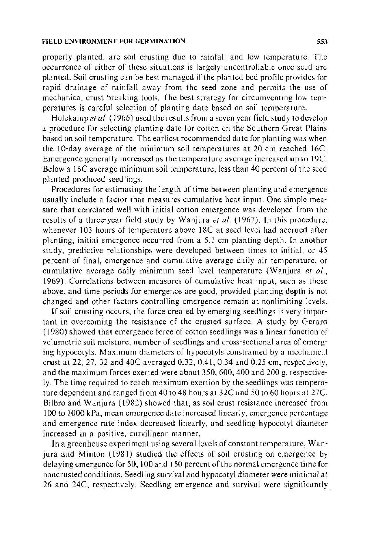#### FIELD ENVIRONMENT FOR GERMINATION 553

properly planted, are soil crusting due to rainfall and low temperature. The occurrence of either of these situations is largely uncontrollable once seed are planted. Soil crusting can be best managed if the planted bed profile provides for rapid drainage of rainfall away from the seed zone and permits the use of mechanical crust breaking tools. The best strategy for circumventing low temperatures is careful selection of planting date based on soil temperature.

Holekamp *eta/.* ( 1966) used the results from a seven year field study to develop a procedure for selecting planting date for cotton on the Southern Great Plains based on soil temperature. The earliest recommended date for planting was when the 10-day average of the minimum soil temperatures at 20 em reached 16C. Emergence generally increased as the temperature average increased up to 19C. Below a 16C average minimum soil temperature, less than 40 percent of the seed planted produced seedlings.

Procedures for estimating the length of time between planting and emergence usually include a factor that measures cumulative heat input. One simple measure that correlated well with initial cotton emergence was developed from the results of a three-year field study by Wanjura et al. (1967). In this procedure, whenever 103 hours of temperature above 18C at seed level had accrued after planting, initial emergence occurred from a 5. I em planting depth. In another study, predictive relationships were developed between times to initial, or 45 percent of final, emergence and cumulative average daily air temperature, or cumulative average daily minimum seed level temperature (Wanjura *et a!.,*  1969). Correlations between measures of cumulative heat input, such as those above, and time periods for emergence are good, provided planting depth is not changed and other factors controlling emergence remain at nonlimiting levels.

If soil crusting occurs, the force created by emerging seedlings is very important in overcoming the resistance of the crusted surface. A study by Gerard (1980) showed that emergence force of cotton seedlings was a linear function of volumetric soil moisture, number of seedlings and cross-sectional area of emerging hypocotyls. Maximum diameters of hypocotyls constrained by a mechanical crust at 22, 27, 32 and 40C averaged 0.32, 0.41, 0.34 and 0.25 em, respectively, and the maximum forces exerted were about 350, 600, 400 and 200 g, respectively. The time required to reach maximum exertion by the seedlings was temperature dependent and ranged from 40 to 48 hours at 32C and 50 to 60 hours at 27C. Bilbro and Wanjura (1982) showed that, as soil crust resistance increased from 100 to I 000 kPa, mean emergence date increased linearly, emergence percentage and emergence rate index decreased linearly, and seedling hypocotyl diameter increased in a positive, curvilinear manner.

In a greenhouse experiment using several levels of constant temperature, Wanjura and Minton (1981) studied the effects of soil crusting on emergence by delaying emergence for 50, 100 and 150 percent of the normal emergence time for noncrusted conditions. Seedling survival and hypocotyl diameter were minimal at 26 and 24C, respectively. Seedling emergence and survival were significantly.